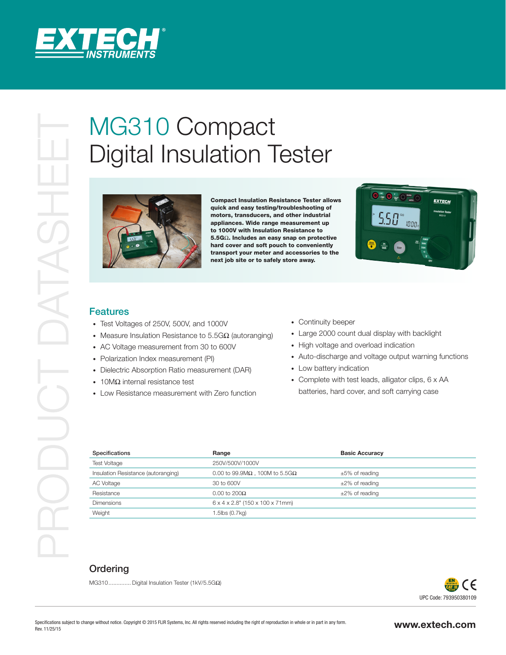

# Digital Insulation Tester



Compact Insulation Resistance Tester allows quick and easy testing/troubleshooting of motors, transducers, and other industrial appliances. Wide range measurement up to 1000V with Insulation Resistance to 5.5GΩ. Includes an easy snap on protective hard cover and soft pouch to conveniently transport your meter and accessories to the next job site or to safely store away.



#### Features

- Test Voltages of 250V, 500V, and 1000V
- Measure Insulation Resistance to 5.5GΩ (autoranging)
- AC Voltage measurement from 30 to 600V
- Polarization Index measurement (PI)
- Dielectric Absorption Ratio measurement (DAR)
- 10MΩ internal resistance test
- Low Resistance measurement with Zero function
- Continuity beeper
- Large 2000 count dual display with backlight
- High voltage and overload indication
- Auto-discharge and voltage output warning functions
- Low battery indication
- Complete with test leads, alligator clips, 6 x AA batteries, hard cover, and soft carrying case

| Specifications                      | Range                                          | <b>Basic Accuracy</b> |
|-------------------------------------|------------------------------------------------|-----------------------|
| <b>Test Voltage</b>                 | 250V/500V/1000V                                |                       |
| Insulation Resistance (autoranging) | 0.00 to 99.9M $\Omega$ , 100M to 5.5G $\Omega$ | $\pm 5\%$ of reading  |
| AC Voltage                          | 30 to 600V                                     | $\pm 2\%$ of reading  |
| Resistance                          | $0.00$ to 200 $\Omega$                         | $\pm 2\%$ of reading  |
| <b>Dimensions</b>                   | $6 \times 4 \times 2.8$ " (150 x 100 x 71mm)   |                       |
| Weight                              | 1.5lbs (0.7kg)                                 |                       |

### **Ordering**

MG310.............. Digital Insulation Tester (1kV/5.5GΩ)